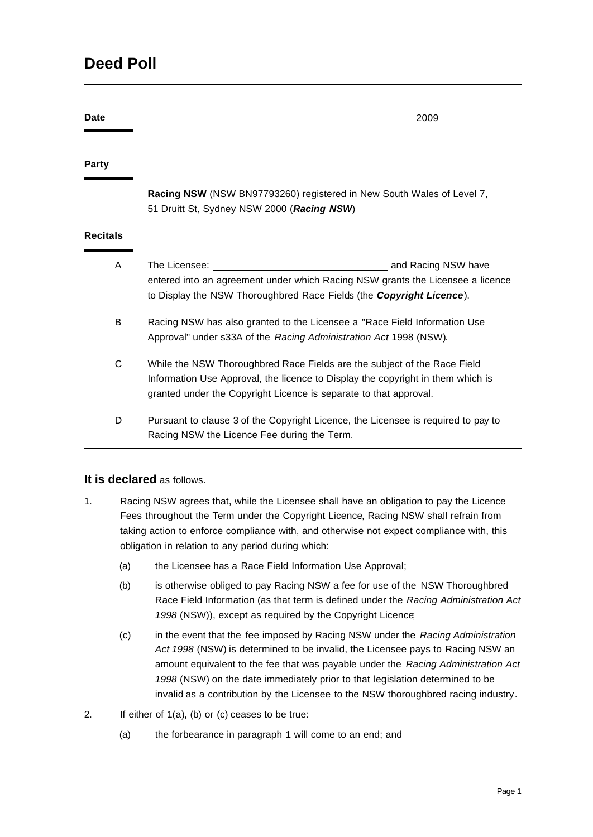| <b>Date</b>     | 2009                                                                                                                                                                                                                             |
|-----------------|----------------------------------------------------------------------------------------------------------------------------------------------------------------------------------------------------------------------------------|
| <b>Party</b>    |                                                                                                                                                                                                                                  |
|                 | Racing NSW (NSW BN97793260) registered in New South Wales of Level 7,<br>51 Druitt St, Sydney NSW 2000 (Racing NSW)                                                                                                              |
| <b>Recitals</b> |                                                                                                                                                                                                                                  |
| A               | entered into an agreement under which Racing NSW grants the Licensee a licence<br>to Display the NSW Thoroughbred Race Fields (the Copyright Licence).                                                                           |
| B               | Racing NSW has also granted to the Licensee a "Race Field Information Use<br>Approval" under s33A of the Racing Administration Act 1998 (NSW).                                                                                   |
| C               | While the NSW Thoroughbred Race Fields are the subject of the Race Field<br>Information Use Approval, the licence to Display the copyright in them which is<br>granted under the Copyright Licence is separate to that approval. |
| D               | Pursuant to clause 3 of the Copyright Licence, the Licensee is required to pay to<br>Racing NSW the Licence Fee during the Term.                                                                                                 |

## **It is declared** as follows.

- 1. Racing NSW agrees that, while the Licensee shall have an obligation to pay the Licence Fees throughout the Term under the Copyright Licence, Racing NSW shall refrain from taking action to enforce compliance with, and otherwise not expect compliance with, this obligation in relation to any period during which:
	- (a) the Licensee has a Race Field Information Use Approval;
	- (b) is otherwise obliged to pay Racing NSW a fee for use of the NSW Thoroughbred Race Field Information (as that term is defined under the *Racing Administration Act 1998* (NSW)), except as required by the Copyright Licence;
	- (c) in the event that the fee imposed by Racing NSW under the *Racing Administration Act 1998* (NSW) is determined to be invalid, the Licensee pays to Racing NSW an amount equivalent to the fee that was payable under the *Racing Administration Act 1998* (NSW) on the date immediately prior to that legislation determined to be invalid as a contribution by the Licensee to the NSW thoroughbred racing industry.
- 2. If either of 1(a), (b) or (c) ceases to be true:
	- (a) the forbearance in paragraph 1 will come to an end; and